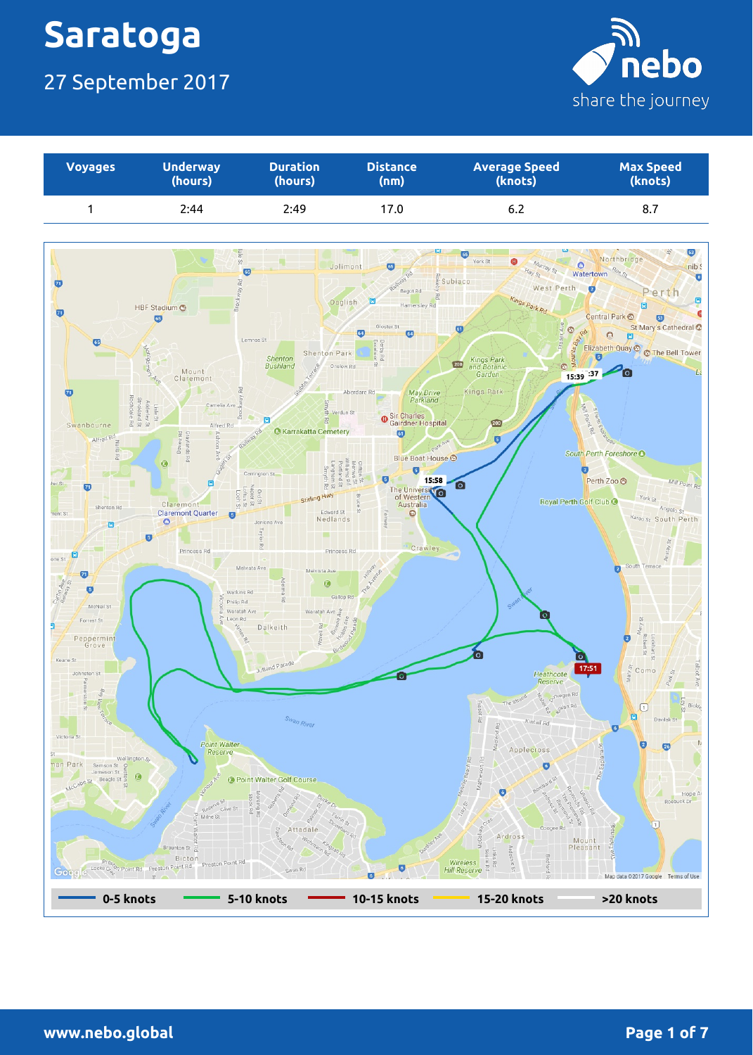### 27 September 2017



| <b>Voyages</b> | <b>Underway</b> | <b>Duration</b> | <b>Distance</b> | <b>Average Speed</b> | <b>Max Speed</b> |
|----------------|-----------------|-----------------|-----------------|----------------------|------------------|
|                | (hours)         | (hours)         | (nm)            | (knots)              | (knots)          |
|                | 2:44            | 2:49            | 17.0            | 6.2                  | 8.7              |

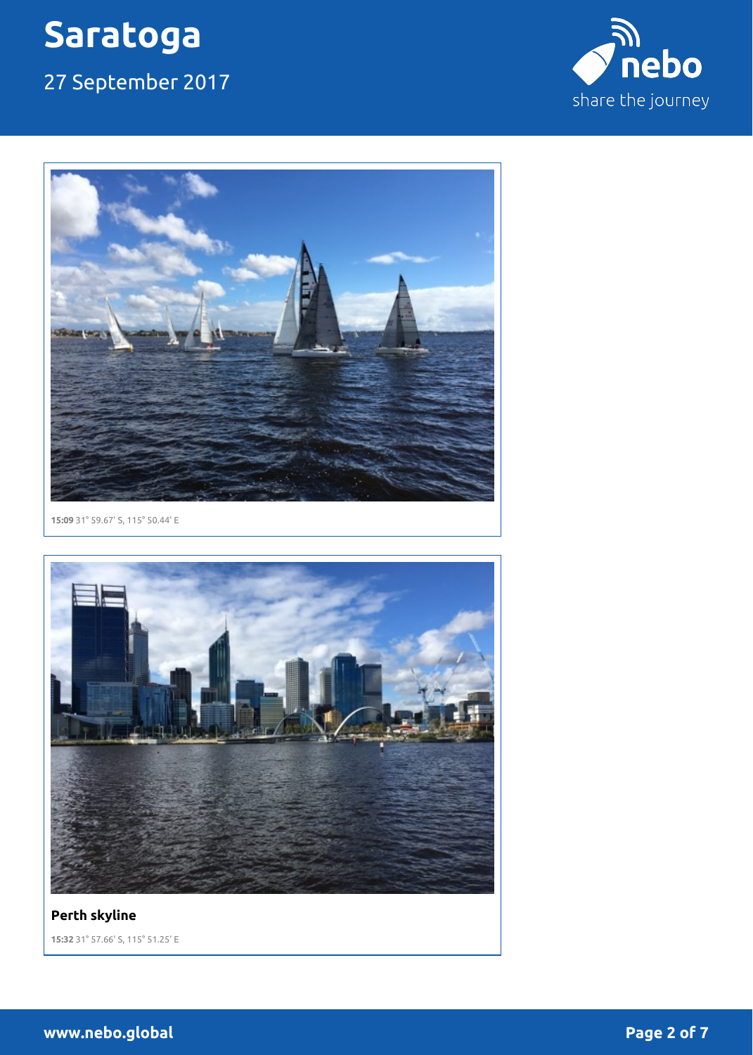27 September 2017





**15:09** 31° 59.67' S, 115° 50.44' E



**Perth skyline 15:32** 31° 57.66' S, 115° 51.25' E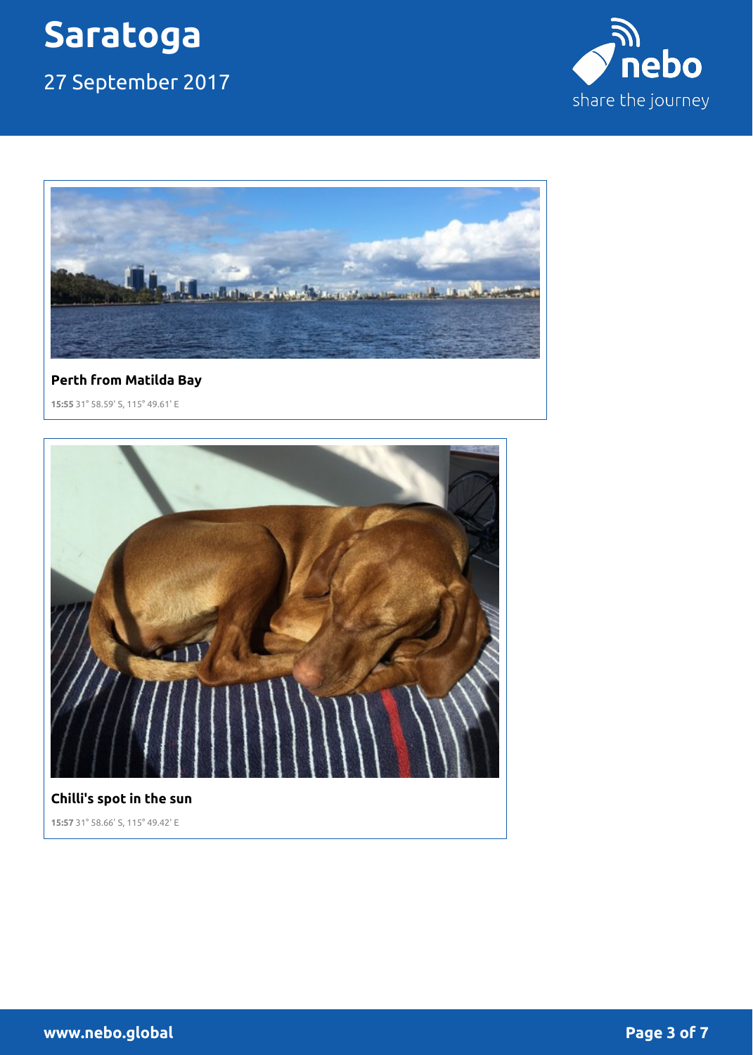### 27 September 2017





### **Perth from Matilda Bay**

**15:55** 31° 58.59' S, 115° 49.61' E



#### **Chilli's spot in the sun**

**15:57** 31° 58.66' S, 115° 49.42' E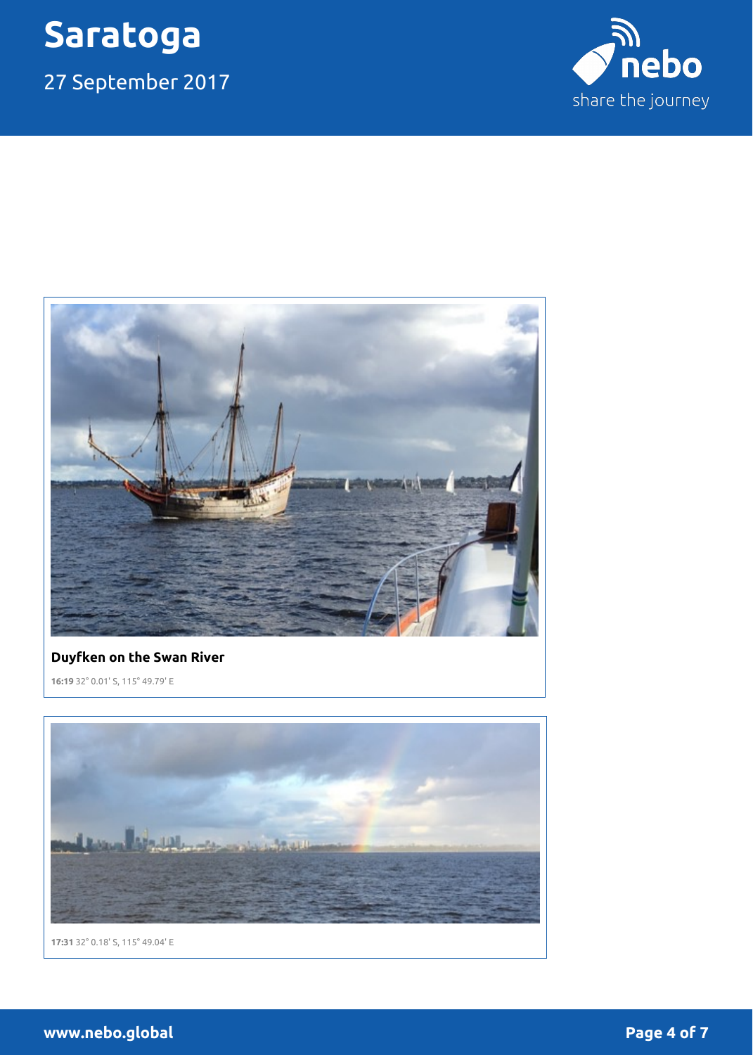27 September 2017





#### **Duyfken on the Swan River**

**16:19** 32° 0.01' S, 115° 49.79' E



**17:31** 32° 0.18' S, 115° 49.04' E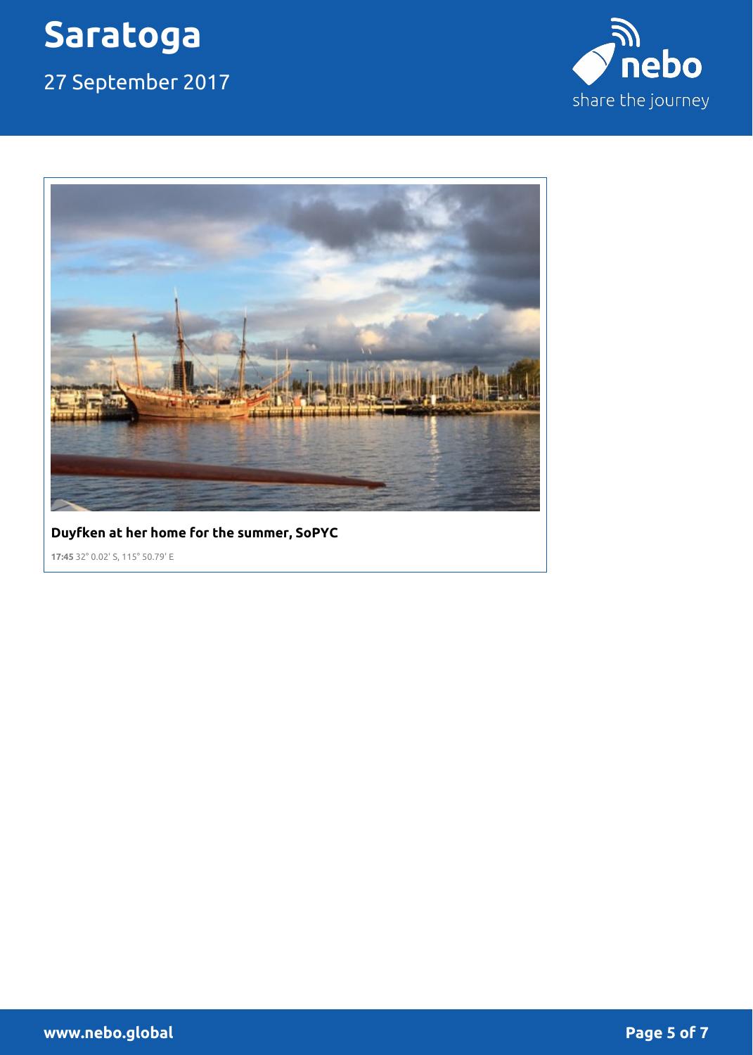27 September 2017





#### **Duyfken at her home for the summer, SoPYC**

**17:45** 32° 0.02' S, 115° 50.79' E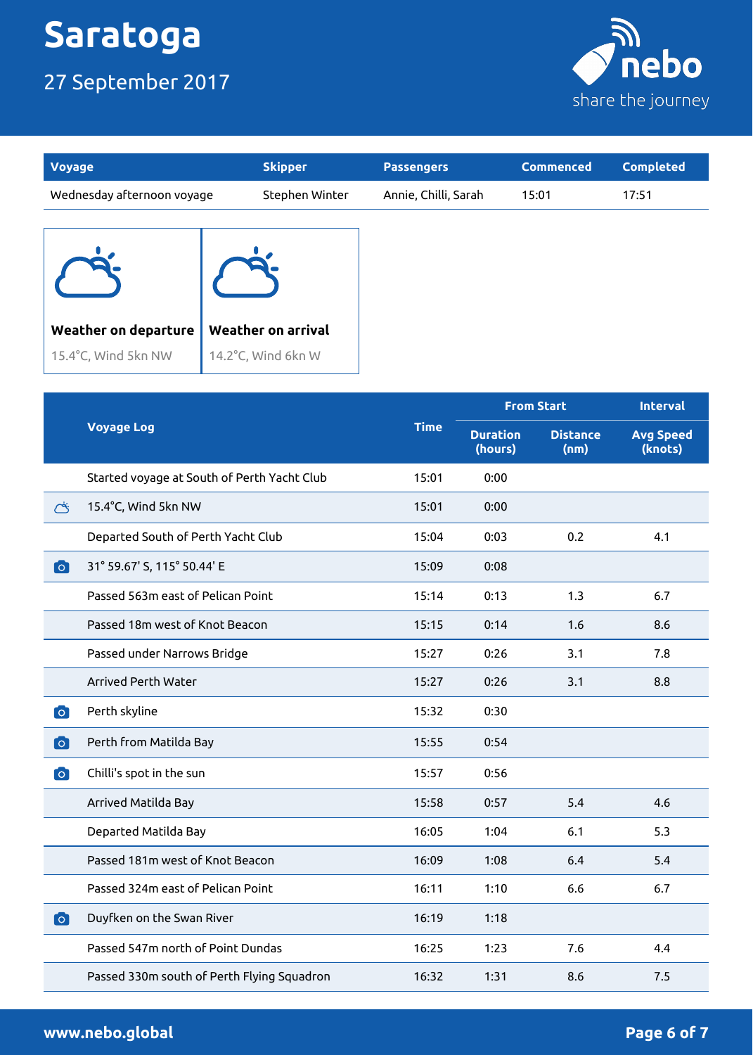15.4°C, Wind 5kn NW

### 27 September 2017



| Voyage                      | <b>Skipper</b>            | <b>Passengers</b>    | <b>Commenced</b> | <b>Completed</b> |
|-----------------------------|---------------------------|----------------------|------------------|------------------|
| Wednesday afternoon voyage  | Stephen Winter            | Annie, Chilli, Sarah | 15:01            | 17:51            |
|                             |                           |                      |                  |                  |
| <b>Weather on departure</b> | <b>Weather on arrival</b> |                      |                  |                  |

14.2°C, Wind 6kn W

|           |                                             | <b>Time</b> | <b>From Start</b>          |                         | <b>Interval</b>             |
|-----------|---------------------------------------------|-------------|----------------------------|-------------------------|-----------------------------|
|           | <b>Voyage Log</b>                           |             | <b>Duration</b><br>(hours) | <b>Distance</b><br>(nm) | <b>Avg Speed</b><br>(knots) |
|           | Started voyage at South of Perth Yacht Club | 15:01       | 0:00                       |                         |                             |
| Ö         | 15.4°C, Wind 5kn NW                         | 15:01       | 0:00                       |                         |                             |
|           | Departed South of Perth Yacht Club          | 15:04       | 0:03                       | 0.2                     | 4.1                         |
| $\bullet$ | 31° 59.67' S, 115° 50.44' E                 | 15:09       | 0:08                       |                         |                             |
|           | Passed 563m east of Pelican Point           | 15:14       | 0:13                       | 1.3                     | 6.7                         |
|           | Passed 18m west of Knot Beacon              | 15:15       | 0:14                       | 1.6                     | 8.6                         |
|           | Passed under Narrows Bridge                 | 15:27       | 0:26                       | 3.1                     | 7.8                         |
|           | Arrived Perth Water                         | 15:27       | 0:26                       | 3.1                     | 8.8                         |
| $\bullet$ | Perth skyline                               | 15:32       | 0:30                       |                         |                             |
| <b>O</b>  | Perth from Matilda Bay                      | 15:55       | 0:54                       |                         |                             |
| $\bullet$ | Chilli's spot in the sun                    | 15:57       | 0:56                       |                         |                             |
|           | Arrived Matilda Bay                         | 15:58       | 0:57                       | 5.4                     | 4.6                         |
|           | Departed Matilda Bay                        | 16:05       | 1:04                       | 6.1                     | 5.3                         |
|           | Passed 181m west of Knot Beacon             | 16:09       | 1:08                       | 6.4                     | 5.4                         |
|           | Passed 324m east of Pelican Point           | 16:11       | 1:10                       | 6.6                     | 6.7                         |
| $\bullet$ | Duyfken on the Swan River                   | 16:19       | 1:18                       |                         |                             |
|           | Passed 547m north of Point Dundas           | 16:25       | 1:23                       | 7.6                     | 4.4                         |
|           | Passed 330m south of Perth Flying Squadron  | 16:32       | 1:31                       | 8.6                     | 7.5                         |